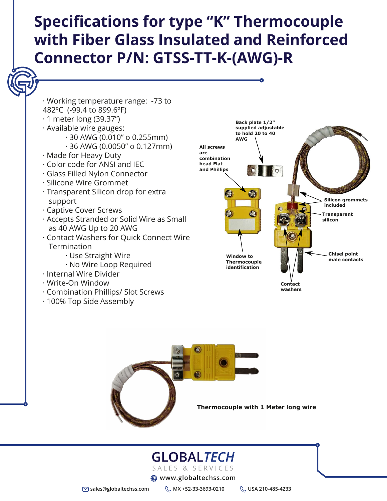**sales@globaltechss.com MX +52-33-3693-0210 USA 210-485-4233**

# **Specifications for type "K" Thermocouple with Fiber Glass Insulated and Reinforced Connector P/N: GTSS-TT-K-(AWG)-R**

· Working temperature range: -73 to 482ºC (-99.4 to 899.6ºF)

- · 1 meter long (39.37")
- · Available wire gauges:
	- · 30 AWG (0.010" o 0.255mm)
	- · 36 AWG (0.0050" o 0.127mm)
- · Made for Heavy Duty
- · Color code for ANSI and IEC
- · Glass Filled Nylon Connector · Silicone Wire Grommet · Transparent Silicon drop for extra support · Captive Cover Screws · Accepts Stranded or Solid Wire as Small as 40 AWG Up to 20 AWG · Contact Washers for Quick Connect Wire **Termination** · Use Straight Wire · No Wire Loop Required · Internal Wire Divider · Write-On Window · Combination Phillips/ Slot Screws · 100% Top Side Assembly

#### **Thermocouple with 1 Meter long wire**

# GLOBALTECH

SALES & SERVICES

**ED** www.globaltechss.com

**Back plate 1/2" to hold 20 to 40 AWG**





**All screws are combination head Flat and Phillips**